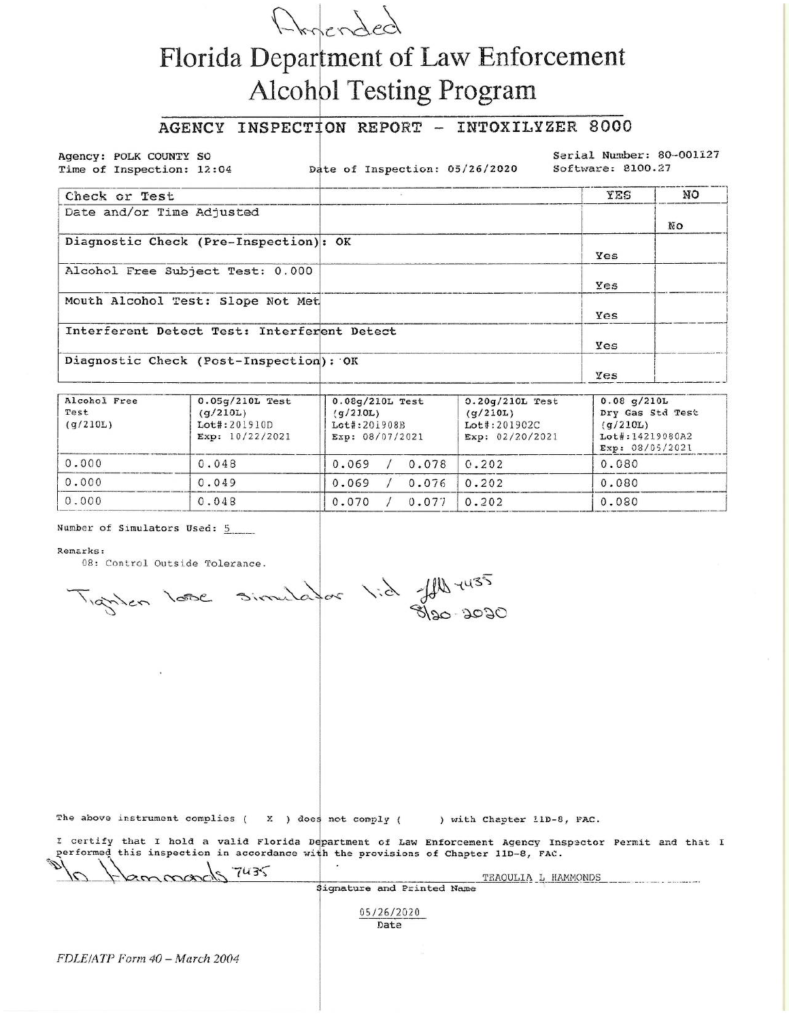

# Florida Department of Law Enforcement **Alcohol Testing Program**

# AGENCY INSPECTION REPORT - INTOXILYZER 8000

Agency: POLK COUNTY SO Time of Inspection: 12:04

Date of Inspection: 05/26/2020

Serial Number: 80-001127 Software: 8100.27

| Check or Test                               | YES | NO |
|---------------------------------------------|-----|----|
| Date and/or Time Adjusted                   |     | NΟ |
| Diagnostic Check (Pre-Inspection): OK       | Yes |    |
| Alcohol Free Subject Test: 0.000            | Yes |    |
| Mouth Alcohol Test: Slope Not Met           | Yes |    |
| Interferent Detect Test: Interferent Detect | Yes |    |
| Diagnostic Check (Post-Inspection): OK      | Yes |    |

| Alcohol Free<br>Test<br>(q/210L) | $0.05q/210L$ Test<br>(q/210L)<br>Lot#:201910D<br>Exp: 10/22/2021 | $0.08q/210L$ Test<br>(9/210L)<br>Lot#:201908B<br>Exp: 08/07/2021 | $0.20q/210L$ Test<br>(q/210L)<br>Lot#:201902C<br>Exp: $02/20/2021$ | $0.08$ g/210L<br>Dry Gas Std Test<br>(g/210L)<br>Lot#:14219080A2<br>Exp: 08/05/2021 |
|----------------------------------|------------------------------------------------------------------|------------------------------------------------------------------|--------------------------------------------------------------------|-------------------------------------------------------------------------------------|
| 0.000                            | 0.048                                                            | 0.069<br>0.078                                                   | 0.202                                                              | 0.080                                                                               |
| 0.000                            | 0.049                                                            | 0.069<br>0.076                                                   | 0.202                                                              | 0.080                                                                               |
| 0.000                            | 0.048                                                            | 0.070<br>0.077                                                   | 0.202                                                              | 0.080                                                                               |

### Number of Simulators Used: 5

#### Remarks:

08: Control Outside Tolerance.

Tignien love simulator l'à JAN 1435

The above instrument complies ( $\chi$ ) does not comply (

) with Chapter 11D-8, FAC.

I certify that I hold a valid Florida Department of Law Enforcement Agency Inspector Permit and that I performed this inspection in accordance with the provisions of Chapter 11D-8, FAC.

| $\sim$<br>Hammab37435         | TEAQULIA L HAMMONDS        |  |
|-------------------------------|----------------------------|--|
|                               | Signature and Printed Name |  |
|                               | 05/26/2020<br>Date         |  |
| FDLE/ATP Form 40 - March 2004 |                            |  |